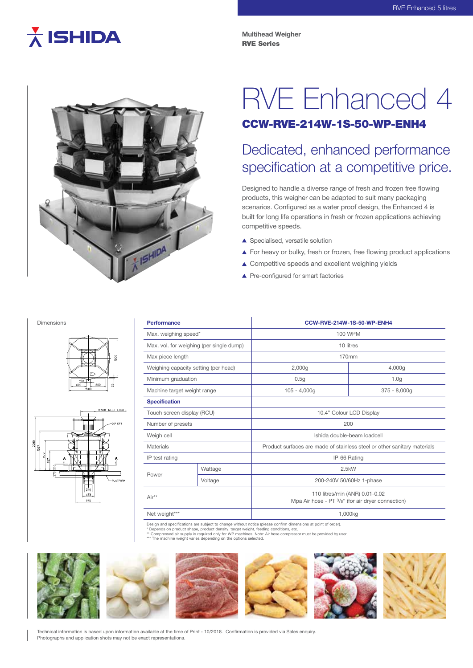# $\overline{\lambda}$  ISHIDA

**Multihead Weigher** RVE Series



# RVE Enhanced 4

### CCW-RVE-214W-1S-50-WP-ENH4

## Dedicated, enhanced performance specification at a competitive price.

Designed to handle a diverse range of fresh and frozen free flowing products, this weigher can be adapted to suit many packaging scenarios. Configured as a water proof design, the Enhanced 4 is built for long life operations in fresh or frozen applications achieving competitive speeds.

- ▲ Specialised, versatile solution
- ▲ For heavy or bulky, fresh or frozen, free flowing product applications
- ▲ Competitive speeds and excellent weighing yields
- ▲ Pre-configured for smart factories

#### Dimensions





| <b>Performance</b>                       |         | CCW-RVE-214W-1S-50-WP-ENH4                                                          |                  |
|------------------------------------------|---------|-------------------------------------------------------------------------------------|------------------|
| Max. weighing speed*                     |         | 100 WPM                                                                             |                  |
| Max. vol. for weighing (per single dump) |         | 10 litres                                                                           |                  |
| Max piece length                         |         | 170mm                                                                               |                  |
| Weighing capacity setting (per head)     |         | 2,000g                                                                              | 4,000g           |
| Minimum graduation                       |         | 0.5g                                                                                | 1.0 <sub>g</sub> |
| Machine target weight range              |         | $105 - 4,000q$                                                                      | $375 - 8,000q$   |
| <b>Specification</b>                     |         |                                                                                     |                  |
| Touch screen display (RCU)               |         | 10.4" Colour LCD Display                                                            |                  |
| Number of presets                        |         | 200                                                                                 |                  |
| Weigh cell                               |         | Ishida double-beam loadcell                                                         |                  |
| Materials                                |         | Product surfaces are made of stainless steel or other sanitary materials            |                  |
| IP test rating                           |         | IP-66 Rating                                                                        |                  |
| Power                                    | Wattage | 2.5kW                                                                               |                  |
|                                          | Voltage | 200-240V 50/60Hz 1-phase                                                            |                  |
| Air**                                    |         | 110 litres/min (ANR) 0.01-0.02<br>Mpa Air hose - PT 3/8" (for air dryer connection) |                  |
| Net weight***                            |         | 1,000kg                                                                             |                  |

Design and specifications are subject to change without notice (please confirm dimensions at point of order).<br>\* Depends on product shape, product density target weight feeding conditions, etc.

\* Depends on product shape, product density, target weight, feeding conditions, etc.<br>\*\* Compressed air supply is required only for WP machines. Note: Air hose compressor must be provided by user.<br>\*\*\* The machine weight var



Technical information is based upon information available at the time of Print - 10/2018. Confirmation is provided via Sales enquiry. Photographs and application shots may not be exact representations.